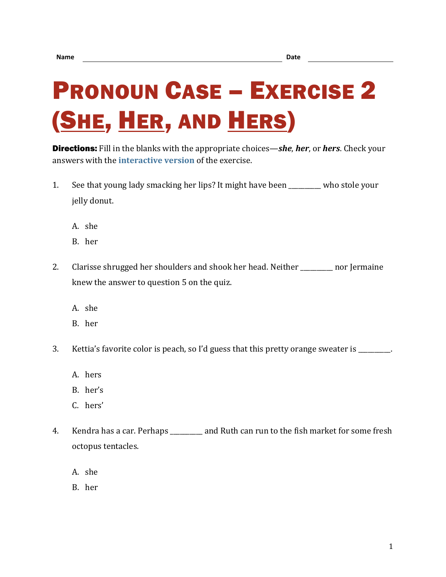## PRONOUN CASE – EXERCISE 2 (SHE, HER, AND HERS)

Directions: Fill in the blanks with the appropriate choices—*she*, *her*, or *hers*. Check your answers with the **[interactive version](https://chompchomp.com/hotpotatoes/procase02.htm)** of the exercise.

- 1. See that young lady smacking her lips? It might have been \_\_\_\_\_\_\_\_\_\_ who stole your jelly donut.
	- A. she
	- B. her
- 2. Clarisse shrugged her shoulders and shook her head. Neither \_\_\_\_\_\_\_\_\_\_ nor Jermaine knew the answer to question 5 on the quiz.
	- A. she
	- B. her
- 3. Kettia's favorite color is peach, so I'd guess that this pretty orange sweater is
	- A. hers
	- B. her's
	- C. hers'
- 4. Kendra has a car. Perhaps \_\_\_\_\_\_\_\_\_\_ and Ruth can run to the fish market for some fresh octopus tentacles.
	- A. she
	- B. her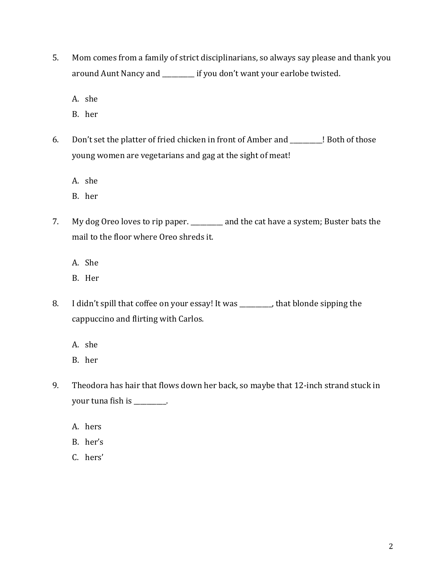- 5. Mom comes from a family of strict disciplinarians, so always say please and thank you around Aunt Nancy and \_\_\_\_\_\_\_\_\_\_ if you don't want your earlobe twisted.
	- A. she
	- B. her
- 6. Don't set the platter of fried chicken in front of Amber and \_\_\_\_\_\_\_\_\_\_! Both of those young women are vegetarians and gag at the sight of meat!
	- A. she
	- B. her
- 7. My dog Oreo loves to rip paper. \_\_\_\_\_\_\_\_\_\_ and the cat have a system; Buster bats the mail to the floor where Oreo shreds it.
	- A. She
	- B. Her
- 8. I didn't spill that coffee on your essay! It was \_\_\_\_\_\_\_, that blonde sipping the cappuccino and flirting with Carlos.
	- A. she
	- B. her
- 9. Theodora has hair that flows down her back, so maybe that 12-inch strand stuck in your tuna fish is \_\_\_\_\_\_\_\_\_\_.
	- A. hers
	- B. her's
	- C. hers'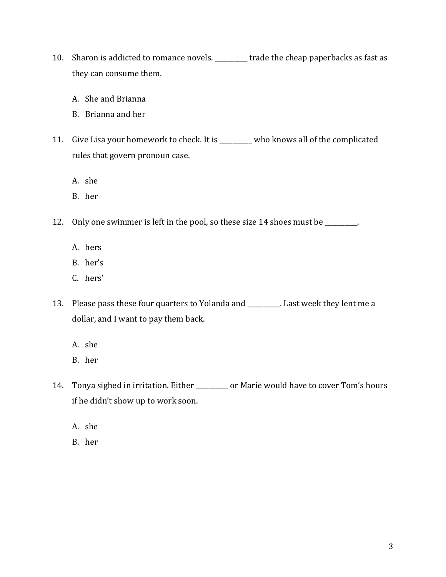- 10. Sharon is addicted to romance novels. \_\_\_\_\_\_\_\_\_\_ trade the cheap paperbacks as fast as they can consume them.
	- A. She and Brianna
	- B. Brianna and her
- 11. Give Lisa your homework to check. It is \_\_\_\_\_\_\_\_\_\_ who knows all of the complicated rules that govern pronoun case.
	- A. she
	- B. her
- 12. Only one swimmer is left in the pool, so these size 14 shoes must be \_\_\_\_\_\_\_.
	- A. hers
	- B. her's
	- C. hers'
- 13. Please pass these four quarters to Yolanda and \_\_\_\_\_\_\_\_\_\_. Last week they lent me a dollar, and I want to pay them back.
	- A. she
	- B. her
- 14. Tonya sighed in irritation. Either \_\_\_\_\_\_\_\_\_\_ or Marie would have to cover Tom's hours if he didn't show up to work soon.
	- A. she
	- B. her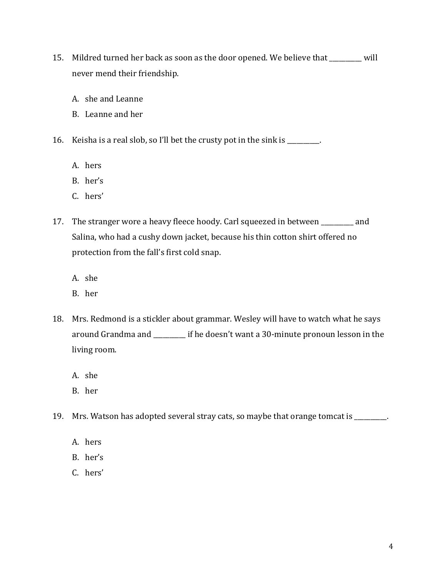- 15. Mildred turned her back as soon as the door opened. We believe that \_\_\_\_\_\_\_\_\_\_ will never mend their friendship.
	- A. she and Leanne
	- B. Leanne and her
- 16. Keisha is a real slob, so I'll bet the crusty pot in the sink is \_\_\_\_\_\_\_\_\_\_.
	- A. hers
	- B. her's
	- C. hers'
- 17. The stranger wore a heavy fleece hoody. Carl squeezed in between \_\_\_\_\_\_\_\_\_\_ and Salina, who had a cushy down jacket, because his thin cotton shirt offered no protection from the fall's first cold snap.
	- A. she
	- B. her
- 18. Mrs. Redmond is a stickler about grammar. Wesley will have to watch what he says around Grandma and \_\_\_\_\_\_\_\_\_\_ if he doesn't want a 30-minute pronoun lesson in the living room.
	- A. she
	- B. her
- 19. Mrs. Watson has adopted several stray cats, so maybe that orange tomcat is \_\_\_\_\_\_\_\_\_\_.
	- A. hers
	- B. her's
	- C. hers'